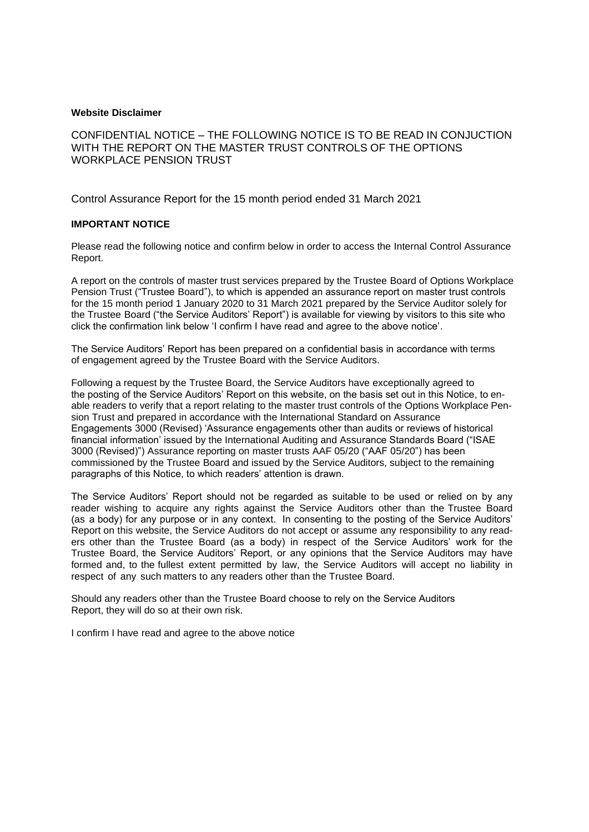#### **Website Disclaimer**

CONFIDENTIAL NOTICE – THE FOLLOWING NOTICE IS TO BE READ IN CONJUCTION WITH THE REPORT ON THE MASTER TRUST CONTROLS OF THE OPTIONS WORKPLACE PENSION TRUST

Control Assurance Report for the 15 month period ended 31 March 2021

#### **IMPORTANT NOTICE**

Please read the following notice and confirm below in order to access the Internal Control Assurance Report.

A report on the controls of master trust services prepared by the Trustee Board of Options Workplace Pension Trust ("Trustee Board"), to which is appended an assurance report on master trust controls for the 15 month period 1 January 2020 to 31 March 2021 prepared by the Service Auditor solely for the Trustee Board ("the Service Auditors' Report") is available for viewing by visitors to this site who click the confirmation link below 'I confirm I have read and agree to the above notice'.

The Service Auditors' Report has been prepared on a confidential basis in accordance with terms of engagement agreed by the Trustee Board with the Service Auditors.

Following a request by the Trustee Board, the Service Auditors have exceptionally agreed to the posting of the Service Auditors' Report on this website, on the basis set out in this Notice, to enable readers to verify that a report relating to the master trust controls of the Options Workplace Pension Trust and prepared in accordance with the International Standard on Assurance Engagements 3000 (Revised) 'Assurance engagements other than audits or reviews of historical financial information' issued by the International Auditing and Assurance Standards Board ("ISAE 3000 (Revised)") Assurance reporting on master trusts AAF 05/20 ("AAF 05/20") has been commissioned by the Trustee Board and issued by the Service Auditors, subject to the remaining paragraphs of this Notice, to which readers' attention is drawn.

The Service Auditors' Report should not be regarded as suitable to be used or relied on by any reader wishing to acquire any rights against the Service Auditors other than the Trustee Board (as a body) for any purpose or in any context. In consenting to the posting of the Service Auditors' Report on this website, the Service Auditors do not accept or assume any responsibility to any readers other than the Trustee Board (as a body) in respect of the Service Auditors' work for the Trustee Board, the Service Auditors' Report, or any opinions that the Service Auditors may have formed and, to the fullest extent permitted by law, the Service Auditors will accept no liability in respect of any such matters to any readers other than the Trustee Board.

Should any readers other than the Trustee Board choose to rely on the Service Auditors Report, they will do so at their own risk.

I confirm I have read and agree to the above notice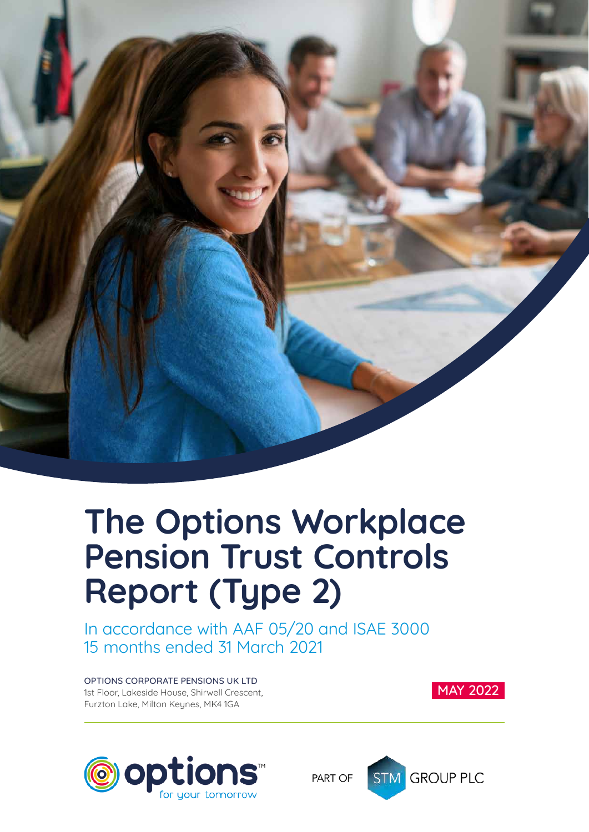

# **The Options Workplace Pension Trust Controls Report (Type 2)**

In accordance with AAF 05/20 and ISAE 3000 15 months ended 31 March 2021

OPTIONS CORPORATE PENSIONS UK LTD 1st Floor, Lakeside House, Shirwell Crescent, Furzton Lake, Milton Keynes, MK4 1GA





PART OF

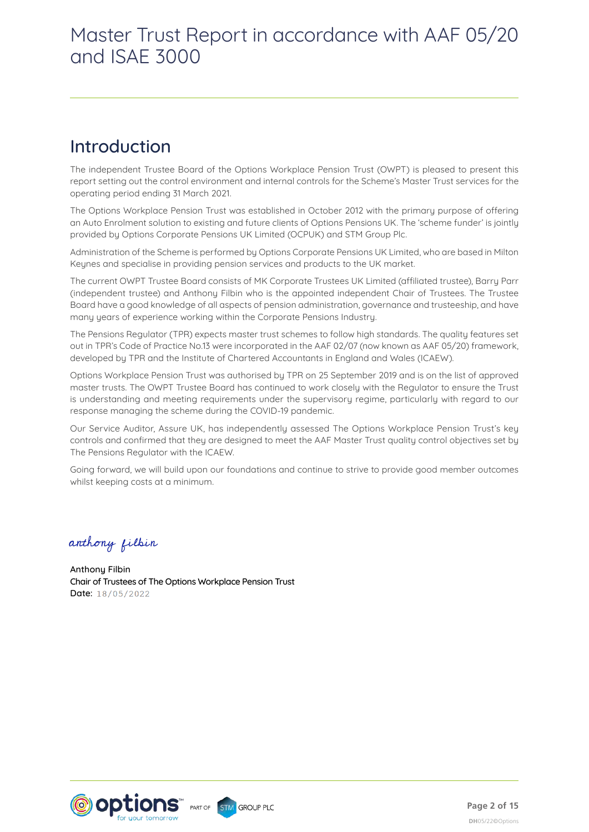# Introduction

The independent Trustee Board of the Options Workplace Pension Trust (OWPT) is pleased to present this report setting out the control environment and internal controls for the Scheme's Master Trust services for the operating period ending 31 March 2021.

The Options Workplace Pension Trust was established in October 2012 with the primary purpose of offering an Auto Enrolment solution to existing and future clients of Options Pensions UK. The 'scheme funder' is jointly provided by Options Corporate Pensions UK Limited (OCPUK) and STM Group Plc.

Administration of the Scheme is performed by Options Corporate Pensions UK Limited, who are based in Milton Keynes and specialise in providing pension services and products to the UK market.

The current OWPT Trustee Board consists of MK Corporate Trustees UK Limited (affiliated trustee), Barry Parr (independent trustee) and Anthony Filbin who is the appointed independent Chair of Trustees. The Trustee Board have a good knowledge of all aspects of pension administration, governance and trusteeship, and have many years of experience working within the Corporate Pensions Industry.

The Pensions Regulator (TPR) expects master trust schemes to follow high standards. The quality features set out in TPR's Code of Practice No.13 were incorporated in the AAF 02/07 (now known as AAF 05/20) framework, developed by TPR and the Institute of Chartered Accountants in England and Wales (ICAEW).

Options Workplace Pension Trust was authorised by TPR on 25 September 2019 and is on the list of approved master trusts. The OWPT Trustee Board has continued to work closely with the Regulator to ensure the Trust is understanding and meeting requirements under the supervisory regime, particularly with regard to our response managing the scheme during the COVID-19 pandemic.

Our Service Auditor, Assure UK, has independently assessed The Options Workplace Pension Trust's key controls and confirmed that they are designed to meet the AAF Master Trust quality control objectives set by The Pensions Regulator with the ICAEW.

Going forward, we will build upon our foundations and continue to strive to provide good member outcomes whilst keeping costs at a minimum.

anthony filbin

Anthony Filbin Chair of Trustees of The Options Workplace Pension Trust Date: 18/05/2022



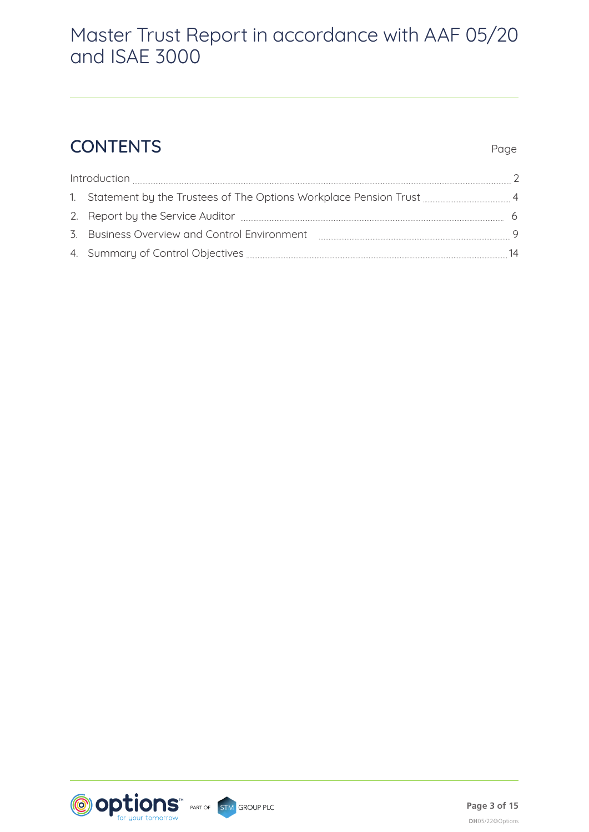# CONTENTS Page

| Introduction                                 |  |
|----------------------------------------------|--|
|                                              |  |
| 2. Report by the Service Auditor             |  |
| 3. Business Overview and Control Environment |  |
| 4. Summary of Control Objectives             |  |

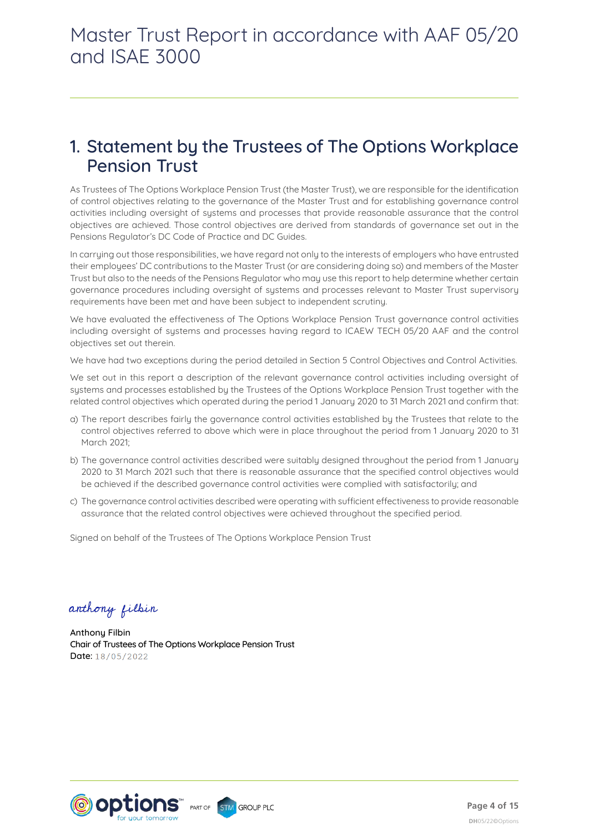# 1. Statement by the Trustees of The Options Workplace Pension Trust

As Trustees of The Options Workplace Pension Trust (the Master Trust), we are responsible for the identification of control objectives relating to the governance of the Master Trust and for establishing governance control activities including oversight of systems and processes that provide reasonable assurance that the control objectives are achieved. Those control objectives are derived from standards of governance set out in the Pensions Regulator's DC Code of Practice and DC Guides.

In carrying out those responsibilities, we have regard not only to the interests of employers who have entrusted their employees' DC contributions to the Master Trust (or are considering doing so) and members of the Master Trust but also to the needs of the Pensions Regulator who may use this report to help determine whether certain governance procedures including oversight of systems and processes relevant to Master Trust supervisory requirements have been met and have been subject to independent scrutiny.

We have evaluated the effectiveness of The Options Workplace Pension Trust governance control activities including oversight of systems and processes having regard to ICAEW TECH 05/20 AAF and the control objectives set out therein.

We have had two exceptions during the period detailed in Section 5 Control Objectives and Control Activities.

We set out in this report a description of the relevant governance control activities including oversight of systems and processes established by the Trustees of the Options Workplace Pension Trust together with the related control objectives which operated during the period 1 January 2020 to 31 March 2021 and confirm that:

- a) The report describes fairly the governance control activities established by the Trustees that relate to the control objectives referred to above which were in place throughout the period from 1 January 2020 to 31 March 2021;
- b) The governance control activities described were suitably designed throughout the period from 1 January 2020 to 31 March 2021 such that there is reasonable assurance that the specified control objectives would be achieved if the described governance control activities were complied with satisfactorily; and
- c) The governance control activities described were operating with sufficient effectiveness to provide reasonable assurance that the related control objectives were achieved throughout the specified period.

Signed on behalf of the Trustees of The Options Workplace Pension Trust

anthony filbin

Anthony Filbin Chair of Trustees of The Options Workplace Pension Trust Date: 18/05/2022  $18/80/2022$ 



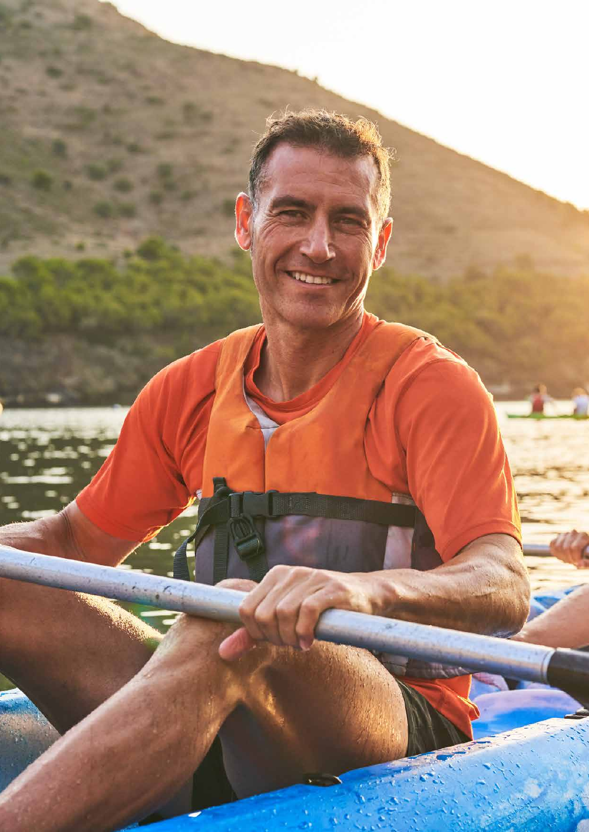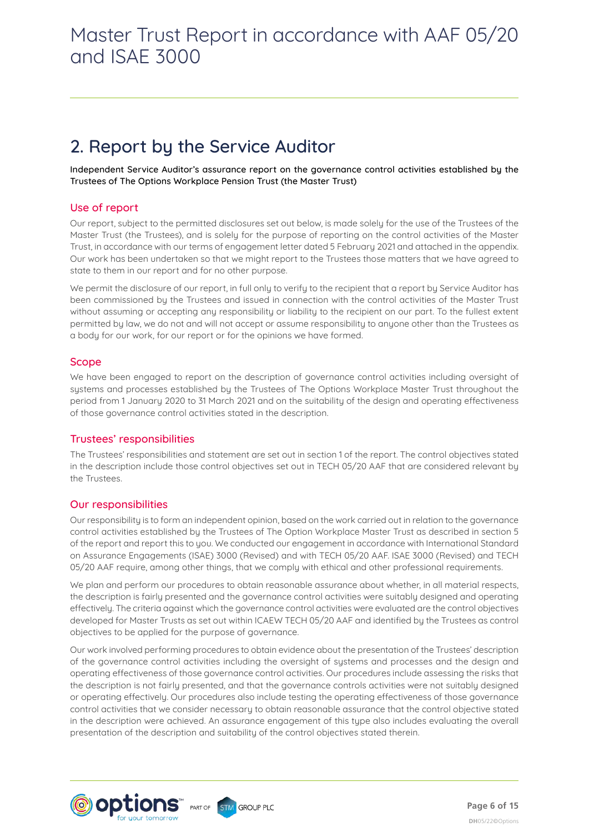# 2. Report by the Service Auditor

Independent Service Auditor's assurance report on the governance control activities established by the Trustees of The Options Workplace Pension Trust (the Master Trust)

# Use of report

Our report, subject to the permitted disclosures set out below, is made solely for the use of the Trustees of the Master Trust (the Trustees), and is solely for the purpose of reporting on the control activities of the Master Trust, in accordance with our terms of engagement letter dated 5 February 2021 and attached in the appendix. Our work has been undertaken so that we might report to the Trustees those matters that we have agreed to state to them in our report and for no other purpose.

We permit the disclosure of our report, in full only to verify to the recipient that a report by Service Auditor has been commissioned by the Trustees and issued in connection with the control activities of the Master Trust without assuming or accepting any responsibility or liability to the recipient on our part. To the fullest extent permitted by law, we do not and will not accept or assume responsibility to anyone other than the Trustees as a body for our work, for our report or for the opinions we have formed.

### Scope

We have been engaged to report on the description of governance control activities including oversight of systems and processes established by the Trustees of The Options Workplace Master Trust throughout the period from 1 January 2020 to 31 March 2021 and on the suitability of the design and operating effectiveness of those governance control activities stated in the description.

### Trustees' responsibilities

The Trustees' responsibilities and statement are set out in section 1 of the report. The control objectives stated in the description include those control objectives set out in TECH 05/20 AAF that are considered relevant by the Trustees.

### Our responsibilities

Our responsibility is to form an independent opinion, based on the work carried out in relation to the governance control activities established by the Trustees of The Option Workplace Master Trust as described in section 5 of the report and report this to you. We conducted our engagement in accordance with International Standard on Assurance Engagements (ISAE) 3000 (Revised) and with TECH 05/20 AAF. ISAE 3000 (Revised) and TECH 05/20 AAF require, among other things, that we comply with ethical and other professional requirements.

We plan and perform our procedures to obtain reasonable assurance about whether, in all material respects, the description is fairly presented and the governance control activities were suitably designed and operating effectively. The criteria against which the governance control activities were evaluated are the control objectives developed for Master Trusts as set out within ICAEW TECH 05/20 AAF and identified by the Trustees as control objectives to be applied for the purpose of governance.

Our work involved performing procedures to obtain evidence about the presentation of the Trustees' description of the governance control activities including the oversight of systems and processes and the design and operating effectiveness of those governance control activities. Our procedures include assessing the risks that the description is not fairly presented, and that the governance controls activities were not suitably designed or operating effectively. Our procedures also include testing the operating effectiveness of those governance control activities that we consider necessary to obtain reasonable assurance that the control objective stated in the description were achieved. An assurance engagement of this tupe also includes evaluating the overall presentation of the description and suitability of the control objectives stated therein.



**DH**05/22©Options **Page 6 of 15**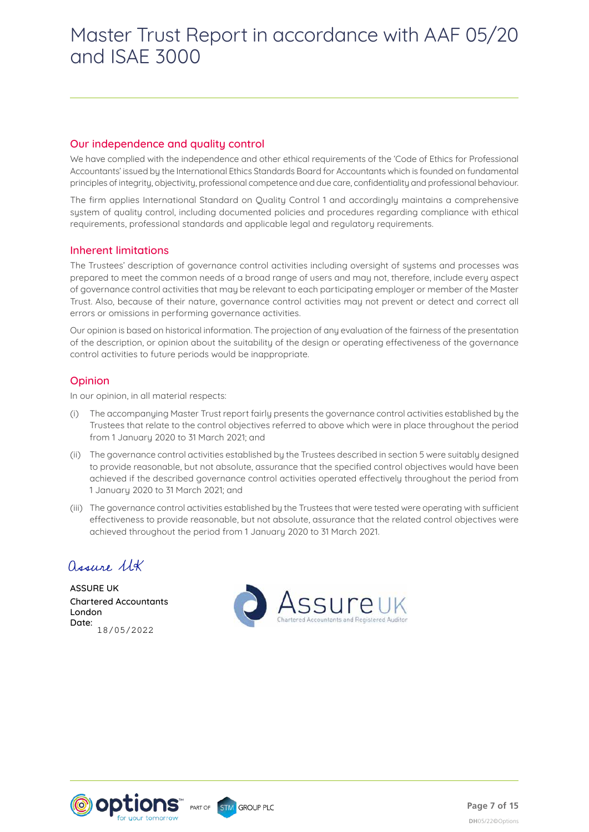# Our independence and quality control

We have complied with the independence and other ethical requirements of the 'Code of Ethics for Professional Accountants' issued by the International Ethics Standards Board for Accountants which is founded on fundamental principles of integrity, objectivity, professional competence and due care, confidentiality and professional behaviour.

The firm applies International Standard on Quality Control 1 and accordingly maintains a comprehensive system of quality control, including documented policies and procedures regarding compliance with ethical requirements, professional standards and applicable legal and regulatory requirements.

# Inherent limitations

The Trustees' description of governance control activities including oversight of systems and processes was prepared to meet the common needs of a broad range of users and may not, therefore, include every aspect of governance control activities that may be relevant to each participating employer or member of the Master Trust. Also, because of their nature, governance control activities may not prevent or detect and correct all errors or omissions in performing governance activities.

Our opinion is based on historical information. The projection of any evaluation of the fairness of the presentation of the description, or opinion about the suitability of the design or operating effectiveness of the governance control activities to future periods would be inappropriate.

### Opinion

In our opinion, in all material respects:

- (i) The accompanying Master Trust report fairly presents the governance control activities established by the Trustees that relate to the control objectives referred to above which were in place throughout the period from 1 January 2020 to 31 March 2021; and
- (ii) The governance control activities established by the Trustees described in section 5 were suitably designed to provide reasonable, but not absolute, assurance that the specified control objectives would have been achieved if the described governance control activities operated effectively throughout the period from 1 January 2020 to 31 March 2021; and
- (iii) The governance control activities established by the Trustees that were tested were operating with sufficient effectiveness to provide reasonable, but not absolute, assurance that the related control objectives were achieved throughout the period from 1 January 2020 to 31 March 2021.

againe 11g

ASSURE UK Chartered Accountants London Date: 18/05/2022





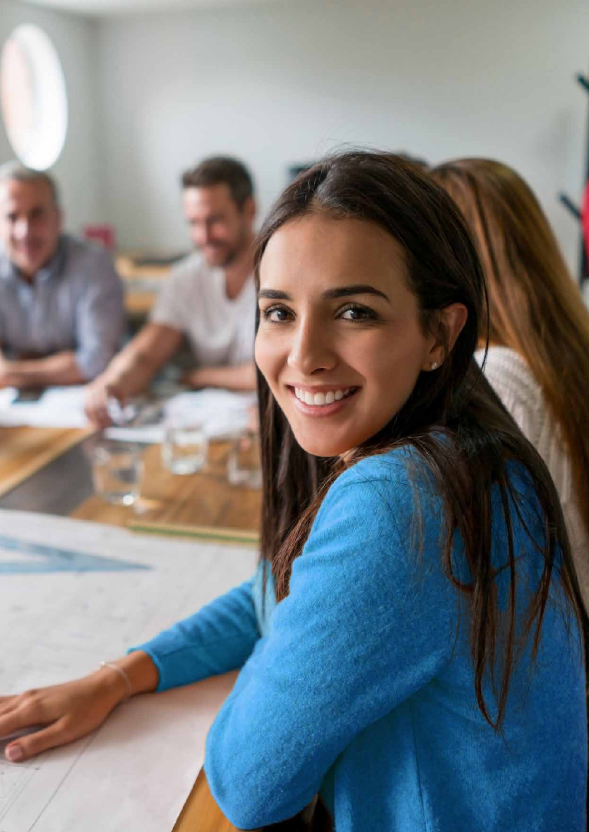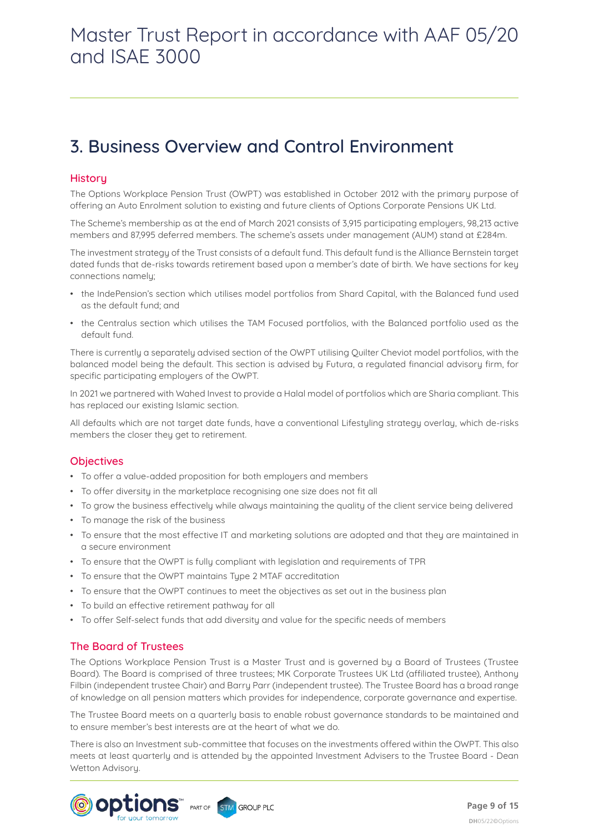# 3. Business Overview and Control Environment

### **Historu**

The Options Workplace Pension Trust (OWPT) was established in October 2012 with the primary purpose of offering an Auto Enrolment solution to existing and future clients of Options Corporate Pensions UK Ltd.

The Scheme's membership as at the end of March 2021 consists of 3,915 participating employers, 98,213 active members and 87,995 deferred members. The scheme's assets under management (AUM) stand at £284m.

The investment strategy of the Trust consists of a default fund. This default fund is the Alliance Bernstein target dated funds that de-risks towards retirement based upon a member's date of birth. We have sections for key connections namely;

- the IndePension's section which utilises model portfolios from Shard Capital, with the Balanced fund used as the default fund; and
- the Centralus section which utilises the TAM Focused portfolios, with the Balanced portfolio used as the default fund.

There is currently a separately advised section of the OWPT utilising Quilter Cheviot model portfolios, with the balanced model being the default. This section is advised by Futura, a regulated financial advisory firm, for specific participating employers of the OWPT.

In 2021 we partnered with Wahed Invest to provide a Halal model of portfolios which are Sharia compliant. This has replaced our existing Islamic section.

All defaults which are not target date funds, have a conventional Lifestyling strategy overlay, which de-risks members the closer they get to retirement.

# **Objectives**

- To offer a value-added proposition for both employers and members
- To offer diversity in the marketplace recognising one size does not fit all
- To grow the business effectively while always maintaining the quality of the client service being delivered
- To manage the risk of the business
- To ensure that the most effective IT and marketing solutions are adopted and that they are maintained in a secure environment
- To ensure that the OWPT is fully compliant with legislation and requirements of TPR
- To ensure that the OWPT maintains Type 2 MTAF accreditation
- To ensure that the OWPT continues to meet the objectives as set out in the business plan
- To build an effective retirement pathway for all
- To offer Self-select funds that add diversity and value for the specific needs of members

### The Board of Trustees

The Options Workplace Pension Trust is a Master Trust and is governed by a Board of Trustees (Trustee Board). The Board is comprised of three trustees; MK Corporate Trustees UK Ltd (affiliated trustee), Anthony Filbin (independent trustee Chair) and Barry Parr (independent trustee). The Trustee Board has a broad range of knowledge on all pension matters which provides for independence, corporate governance and expertise.

The Trustee Board meets on a quarterly basis to enable robust governance standards to be maintained and to ensure member's best interests are at the heart of what we do.

There is also an Investment sub-committee that focuses on the investments offered within the OWPT. This also meets at least quarterly and is attended by the appointed Investment Advisers to the Trustee Board - Dean Wetton Advisory.

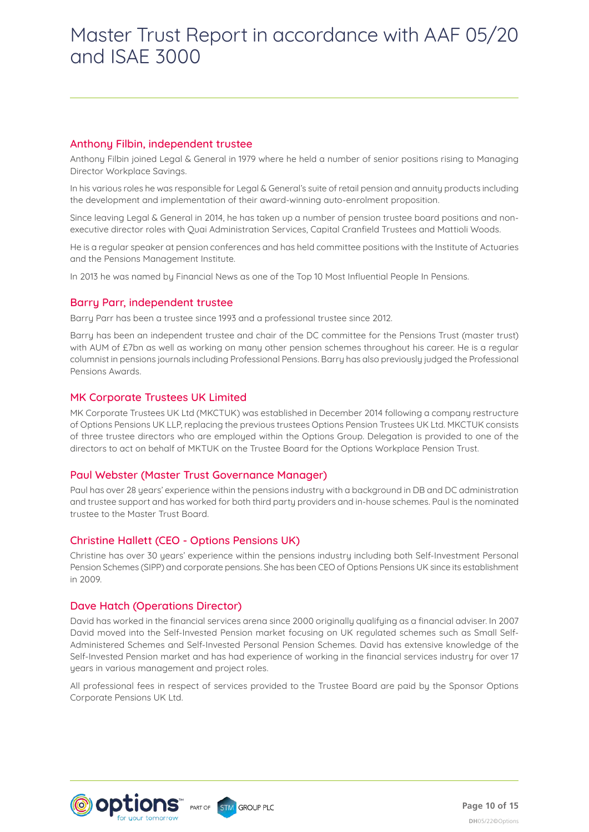# Anthony Filbin, independent trustee

Anthony Filbin joined Legal & General in 1979 where he held a number of senior positions rising to Managing Director Workplace Savings.

In his various roles he was responsible for Legal & General's suite of retail pension and annuity products including the development and implementation of their award-winning auto-enrolment proposition.

Since leaving Legal & General in 2014, he has taken up a number of pension trustee board positions and nonexecutive director roles with Quai Administration Services, Capital Cranfield Trustees and Mattioli Woods.

He is a regular speaker at pension conferences and has held committee positions with the Institute of Actuaries and the Pensions Management Institute.

In 2013 he was named by Financial News as one of the Top 10 Most Influential People In Pensions.

### Barry Parr, independent trustee

Barry Parr has been a trustee since 1993 and a professional trustee since 2012.

Barry has been an independent trustee and chair of the DC committee for the Pensions Trust (master trust) with AUM of £7bn as well as working on many other pension schemes throughout his career. He is a regular columnist in pensions journals including Professional Pensions. Barry has also previously judged the Professional Pensions Awards.

### MK Corporate Trustees UK Limited

MK Corporate Trustees UK Ltd (MKCTUK) was established in December 2014 following a company restructure of Options Pensions UK LLP, replacing the previous trustees Options Pension Trustees UK Ltd. MKCTUK consists of three trustee directors who are employed within the Options Group. Delegation is provided to one of the directors to act on behalf of MKTUK on the Trustee Board for the Options Workplace Pension Trust.

### Paul Webster (Master Trust Governance Manager)

Paul has over 28 years' experience within the pensions industry with a background in DB and DC administration and trustee support and has worked for both third party providers and in-house schemes. Paul is the nominated trustee to the Master Trust Board.

### Christine Hallett (CEO - Options Pensions UK)

Christine has over 30 years' experience within the pensions industry including both Self-Investment Personal Pension Schemes (SIPP) and corporate pensions. She has been CEO of Options Pensions UK since its establishment in 2009.

### Dave Hatch (Operations Director)

David has worked in the financial services arena since 2000 originally qualifying as a financial adviser. In 2007 David moved into the Self-Invested Pension market focusing on UK regulated schemes such as Small Self-Administered Schemes and Self-Invested Personal Pension Schemes. David has extensive knowledge of the Self-Invested Pension market and has had experience of working in the financial services industry for over 17 years in various management and project roles.

All professional fees in respect of services provided to the Trustee Board are paid by the Sponsor Options Corporate Pensions UK Ltd.



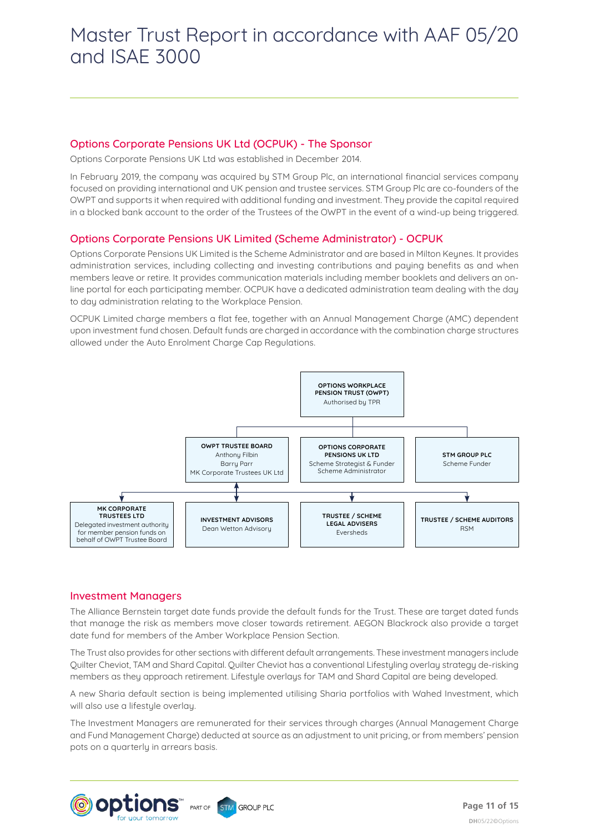# Options Corporate Pensions UK Ltd (OCPUK) - The Sponsor

Options Corporate Pensions UK Ltd was established in December 2014.

In February 2019, the company was acquired by STM Group Plc, an international financial services company focused on providing international and UK pension and trustee services. STM Group Plc are co-founders of the OWPT and supports it when required with additional funding and investment. They provide the capital required in a blocked bank account to the order of the Trustees of the OWPT in the event of a wind-up being triggered.

### Options Corporate Pensions UK Limited (Scheme Administrator) - OCPUK

Options Corporate Pensions UK Limited is the Scheme Administrator and are based in Milton Keynes. It provides administration services, including collecting and investing contributions and paying benefits as and when members leave or retire. It provides communication materials including member booklets and delivers an online portal for each participating member. OCPUK have a dedicated administration team dealing with the day to day administration relating to the Workplace Pension.

OCPUK Limited charge members a flat fee, together with an Annual Management Charge (AMC) dependent upon investment fund chosen. Default funds are charged in accordance with the combination charge structures allowed under the Auto Enrolment Charge Cap Regulations.



#### Investment Managers

The Alliance Bernstein target date funds provide the default funds for the Trust. These are target dated funds that manage the risk as members move closer towards retirement. AEGON Blackrock also provide a target date fund for members of the Amber Workplace Pension Section.

The Trust also provides for other sections with different default arrangements. These investment managers include Quilter Cheviot, TAM and Shard Capital. Quilter Cheviot has a conventional Lifestyling overlay strategy de-risking members as they approach retirement. Lifestyle overlays for TAM and Shard Capital are being developed.

A new Sharia default section is being implemented utilising Sharia portfolios with Wahed Investment, which will also use a lifestyle overlay.

The Investment Managers are remunerated for their services through charges (Annual Management Charge and Fund Management Charge) deducted at source as an adjustment to unit pricing, or from members' pension pots on a quarterly in arrears basis.



**DH**05/22©Options **Page 11 of 15**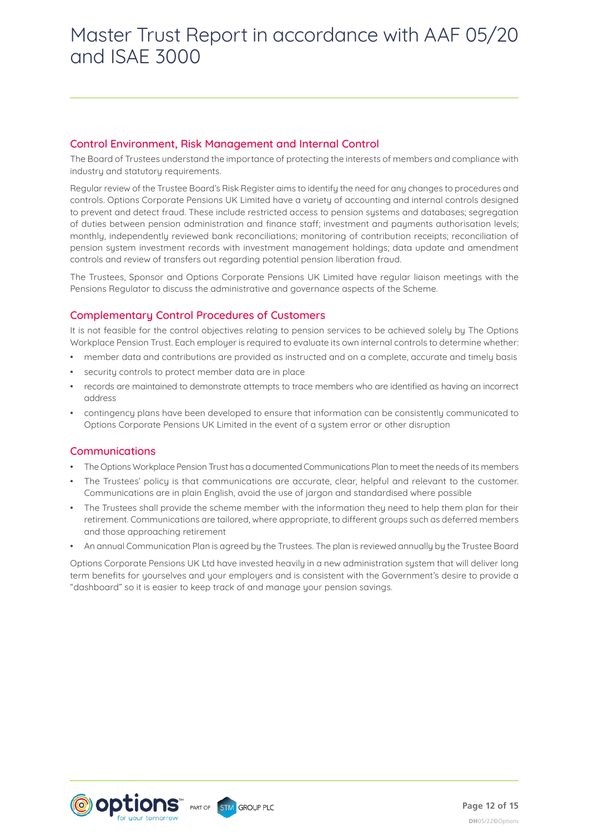# Control Environment, Risk Management and Internal Control

The Board of Trustees understand the importance of protecting the interests of members and compliance with industry and statutory requirements.

Regular review of the Trustee Board's Risk Register aims to identify the need for any changes to procedures and controls. Options Corporate Pensions UK Limited have a variety of accounting and internal controls designed to prevent and detect fraud. These include restricted access to pension systems and databases; segregation of duties between pension administration and finance staff; investment and payments authorisation levels; monthly, independently reviewed bank reconciliations; monitoring of contribution receipts; reconciliation of pension system investment records with investment management holdings; data update and amendment controls and review of transfers out regarding potential pension liberation fraud.

The Trustees, Sponsor and Options Corporate Pensions UK Limited have regular liaison meetings with the Pensions Regulator to discuss the administrative and governance aspects of the Scheme.

# Complementary Control Procedures of Customers

It is not feasible for the control objectives relating to pension services to be achieved solely by The Options Workplace Pension Trust. Each employer is required to evaluate its own internal controls to determine whether:

- member data and contributions are provided as instructed and on a complete, accurate and timely basis
- security controls to protect member data are in place
- records are maintained to demonstrate attempts to trace members who are identified as having an incorrect address
- contingency plans have been developed to ensure that information can be consistently communicated to Options Corporate Pensions UK Limited in the event of a system error or other disruption

### Communications

- The Options Workplace Pension Trust has a documented Communications Plan to meet the needs of its members
- The Trustees' policy is that communications are accurate, clear, helpful and relevant to the customer. Communications are in plain English, avoid the use of jargon and standardised where possible
- The Trustees shall provide the scheme member with the information they need to help them plan for their retirement. Communications are tailored, where appropriate, to different groups such as deferred members and those approaching retirement
- An annual Communication Plan is agreed by the Trustees. The plan is reviewed annually by the Trustee Board

Options Corporate Pensions UK Ltd have invested heavily in a new administration system that will deliver long term benefits for yourselves and your employers and is consistent with the Government's desire to provide a "dashboard" so it is easier to keep track of and manage your pension savings.



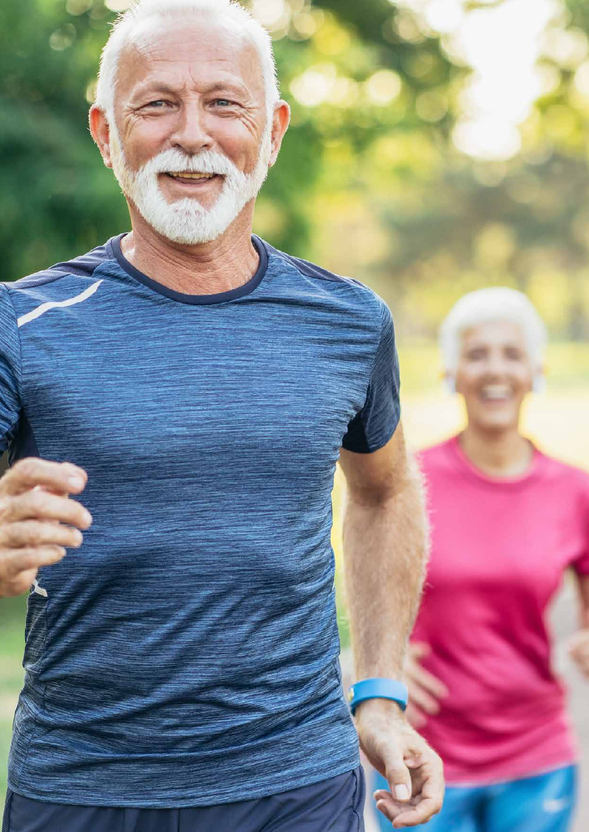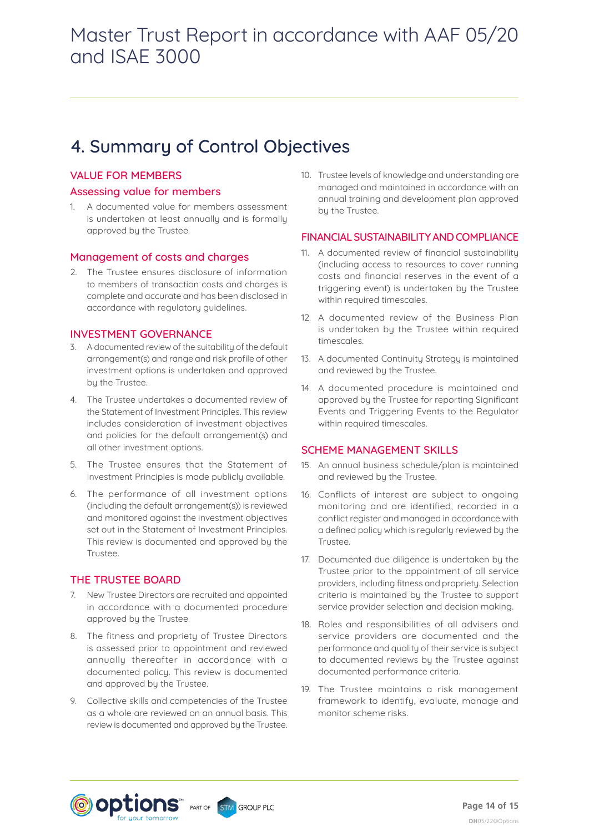# 4. Summary of Control Objectives

### VALUE FOR MEMBERS

### Assessing value for members

1. A documented value for members assessment is undertaken at least annually and is formally approved by the Trustee.

### Management of costs and charges

2. The Trustee ensures disclosure of information to members of transaction costs and charges is complete and accurate and has been disclosed in accordance with regulatory guidelines.

### INVESTMENT GOVERNANCE

- 3. A documented review of the suitability of the default arrangement(s) and range and risk profile of other investment options is undertaken and approved by the Trustee.
- 4. The Trustee undertakes a documented review of the Statement of Investment Principles. This review includes consideration of investment objectives and policies for the default arrangement(s) and all other investment options.
- 5. The Trustee ensures that the Statement of Investment Principles is made publicly available.
- 6. The performance of all investment options (including the default arrangement(s)) is reviewed and monitored against the investment objectives set out in the Statement of Investment Principles. This review is documented and approved by the Trustee.

# THE TRUSTEE BOARD

- 7. New Trustee Directors are recruited and appointed in accordance with a documented procedure approved by the Trustee.
- 8. The fitness and propriety of Trustee Directors is assessed prior to appointment and reviewed annually thereafter in accordance with a documented policy. This review is documented and approved by the Trustee.
- 9. Collective skills and competencies of the Trustee as a whole are reviewed on an annual basis. This review is documented and approved by the Trustee.

10. Trustee levels of knowledge and understanding are managed and maintained in accordance with an annual training and development plan approved by the Trustee.

### FINANCIAL SUSTAINABILITY AND COMPLIANCE

- 11. A documented review of financial sustainability (including access to resources to cover running costs and financial reserves in the event of a triggering event) is undertaken by the Trustee within required timescales.
- 12. A documented review of the Business Plan is undertaken by the Trustee within required timescales.
- 13. A documented Continuity Strategy is maintained and reviewed by the Trustee.
- 14. A documented procedure is maintained and approved by the Trustee for reporting Significant Events and Triggering Events to the Regulator within required timescales.

### SCHEME MANAGEMENT SKILLS

- 15. An annual business schedule/plan is maintained and reviewed by the Trustee.
- 16. Conflicts of interest are subject to ongoing monitoring and are identified, recorded in a conflict register and managed in accordance with a defined policy which is regularly reviewed by the Trustee.
- 17. Documented due diligence is undertaken by the Trustee prior to the appointment of all service providers, including fitness and propriety. Selection criteria is maintained by the Trustee to support service provider selection and decision making.
- 18. Roles and responsibilities of all advisers and service providers are documented and the performance and quality of their service is subject to documented reviews by the Trustee against documented performance criteria.
- 19. The Trustee maintains a risk management framework to identify, evaluate, manage and monitor scheme risks.

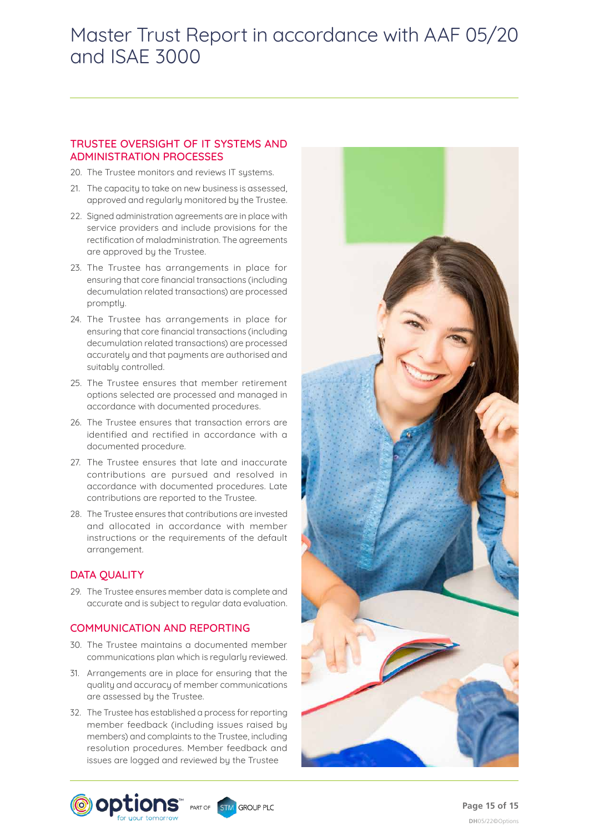# TRUSTEE OVERSIGHT OF IT SYSTEMS AND ADMINISTRATION PROCESSES

- 20. The Trustee monitors and reviews IT systems.
- 21. The capacity to take on new business is assessed, approved and regularly monitored by the Trustee.
- 22. Signed administration agreements are in place with service providers and include provisions for the rectification of maladministration. The agreements are approved by the Trustee.
- 23. The Trustee has arrangements in place for ensuring that core financial transactions (including decumulation related transactions) are processed promptly.
- 24. The Trustee has arrangements in place for ensuring that core financial transactions (including decumulation related transactions) are processed accurately and that payments are authorised and suitably controlled.
- 25. The Trustee ensures that member retirement options selected are processed and managed in accordance with documented procedures.
- 26. The Trustee ensures that transaction errors are identified and rectified in accordance with a documented procedure.
- 27. The Trustee ensures that late and inaccurate contributions are pursued and resolved in accordance with documented procedures. Late contributions are reported to the Trustee.
- 28. The Trustee ensures that contributions are invested and allocated in accordance with member instructions or the requirements of the default arrangement.

# DATA QUALITY

29. The Trustee ensures member data is complete and accurate and is subject to regular data evaluation.

# COMMUNICATION AND REPORTING

- 30. The Trustee maintains a documented member communications plan which is regularly reviewed.
- 31. Arrangements are in place for ensuring that the quality and accuracy of member communications are assessed by the Trustee.
- 32. The Trustee has established a process for reporting member feedback (including issues raised by members) and complaints to the Trustee, including resolution procedures. Member feedback and issues are logged and reviewed by the Trustee





**DH**05/22©Options **Page 15 of 15**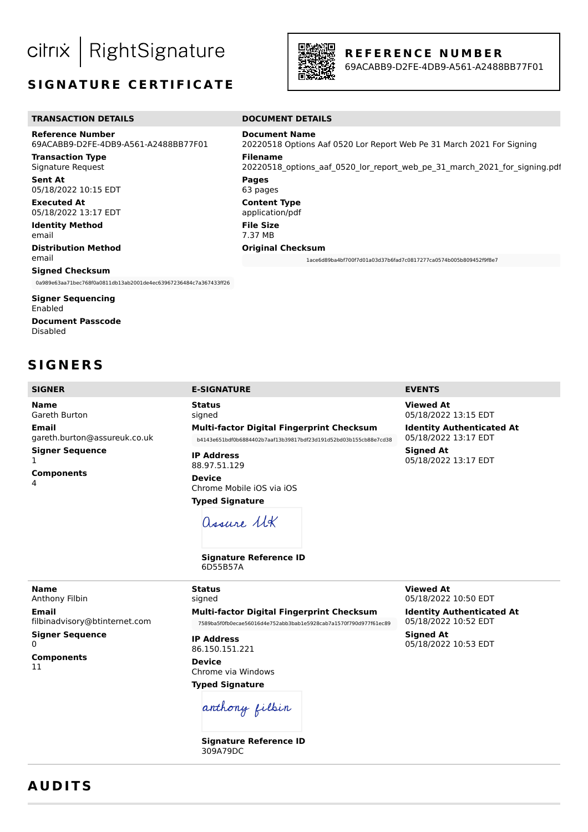$\big\vert$  RightSignature citrix

# **SIGNATURE CERTIFICATE**



#### **R E F E R E N C E N U M B E R**

69ACABB9-D2FE-4DB9-A561-A2488BB77F01

#### **TRANSACTION DETAILS DOCUMENT DETAILS**

**Reference Number** 69ACABB9-D2FE-4DB9-A561-A2488BB77F01

**Transaction Type** Signature Request

**Sent At** 05/18/2022 10:15 EDT

**Executed At** 05/18/2022 13:17 EDT

**Identity Method** email **Distribution Method**

email

**Document Name** 20220518 Options Aaf 0520 Lor Report Web Pe 31 March 2021 For Signing **Filename**

20220518 options aaf 0520 lor report web pe 31 march 2021 for signing.pdf

**Pages** 63 pages

**Content Type** application/pdf

**File Size**

7.37 MB

**Original Checksum**

1ace6d89ba4bf700f7d01a03d37b6fad7c0817277ca0574b005b809452f9f8e7

**Signed Checksum**

0a989e63aa71bec768f0a0811db13ab2001de4ec63967236484c7a367433ff26

**Signer Sequencing** Enabled **Document Passcode** Disabled

# **S I G N E R S**

#### **SIGNER E-SIGNATURE EVENTS**

**Name** Gareth Burton **Email** gareth.burton@assureuk.co.uk **Signer Sequence** 1 **Components** 4

**Status** signed **Multi-factor Digital Fingerprint Checksum** b4143e651bdf0b6884402b7aaf13b39817bdf23d191d52bd03b155cb88e7cd38

**IP Address** 88.97.51.129

**Device** Chrome Mobile iOS via iOS **Typed Signature**



**Viewed At** 05/18/2022 13:15 EDT

**Identity Authenticated At** 05/18/2022 13:17 EDT **Signed At** 05/18/2022 13:17 EDT

assure 11X

**Signature Reference ID** 6D55B57A

**Name** Anthony Filbin **Email** filbinadvisory@btinternet.com **Signer Sequence**  $\Omega$ 

**Components** 11

**Multi-factor Digital Fingerprint Checksum** 7589ba5f0fb0ecae56016d4e752abb3bab1e5928cab7a1570f790d977f61ec89

**IP Address** 86.150.151.221 **Device**

**Status** signed

Chrome via Windows **Typed Signature**

anthony filkin

**Signature Reference ID** 309A79DC

**Viewed At** 05/18/2022 10:50 EDT

**Identity Authenticated At** 05/18/2022 10:52 EDT

**Signed At** 05/18/2022 10:53 EDT

**A U D I T S**